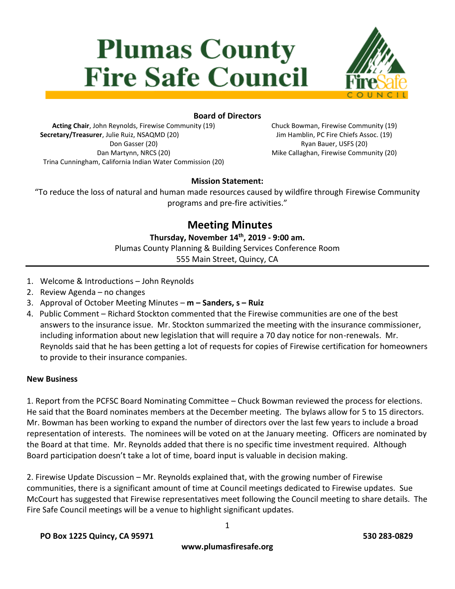# **Plumas County Fire Safe Council**



### **Board of Directors**

**Acting Chair**, John Reynolds, Firewise Community (19) **Secretary/Treasurer**, Julie Ruiz, NSAQMD (20) Don Gasser (20) Dan Martynn, NRCS (20) Trina Cunningham, California Indian Water Commission (20) Chuck Bowman, Firewise Community (19) Jim Hamblin, PC Fire Chiefs Assoc. (19) Ryan Bauer, USFS (20) Mike Callaghan, Firewise Community (20)

#### **Mission Statement:**

"To reduce the loss of natural and human made resources caused by wildfire through Firewise Community programs and pre-fire activities."

## **Meeting Minutes**

**Thursday, November 14 th, 2019 - 9:00 am.**

Plumas County Planning & Building Services Conference Room

555 Main Street, Quincy, CA

- 1. Welcome & Introductions John Reynolds
- 2. Review Agenda no changes
- 3. Approval of October Meeting Minutes **m – Sanders, s – Ruiz**
- 4. Public Comment Richard Stockton commented that the Firewise communities are one of the best answers to the insurance issue. Mr. Stockton summarized the meeting with the insurance commissioner, including information about new legislation that will require a 70 day notice for non-renewals. Mr. Reynolds said that he has been getting a lot of requests for copies of Firewise certification for homeowners to provide to their insurance companies.

#### **New Business**

1. Report from the PCFSC Board Nominating Committee – Chuck Bowman reviewed the process for elections. He said that the Board nominates members at the December meeting. The bylaws allow for 5 to 15 directors. Mr. Bowman has been working to expand the number of directors over the last few years to include a broad representation of interests. The nominees will be voted on at the January meeting. Officers are nominated by the Board at that time. Mr. Reynolds added that there is no specific time investment required. Although Board participation doesn't take a lot of time, board input is valuable in decision making.

2. Firewise Update Discussion – Mr. Reynolds explained that, with the growing number of Firewise communities, there is a significant amount of time at Council meetings dedicated to Firewise updates. Sue McCourt has suggested that Firewise representatives meet following the Council meeting to share details. The Fire Safe Council meetings will be a venue to highlight significant updates.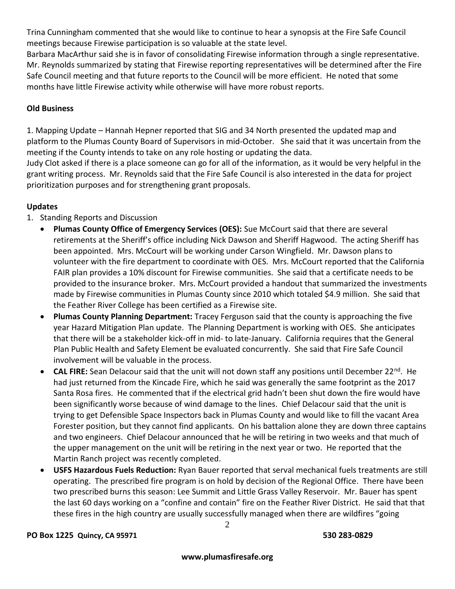Trina Cunningham commented that she would like to continue to hear a synopsis at the Fire Safe Council meetings because Firewise participation is so valuable at the state level.

Barbara MacArthur said she is in favor of consolidating Firewise information through a single representative. Mr. Reynolds summarized by stating that Firewise reporting representatives will be determined after the Fire Safe Council meeting and that future reports to the Council will be more efficient. He noted that some months have little Firewise activity while otherwise will have more robust reports.

#### **Old Business**

1. Mapping Update – Hannah Hepner reported that SIG and 34 North presented the updated map and platform to the Plumas County Board of Supervisors in mid-October. She said that it was uncertain from the meeting if the County intends to take on any role hosting or updating the data.

Judy Clot asked if there is a place someone can go for all of the information, as it would be very helpful in the grant writing process. Mr. Reynolds said that the Fire Safe Council is also interested in the data for project prioritization purposes and for strengthening grant proposals.

#### **Updates**

- 1. Standing Reports and Discussion
	- **Plumas County Office of Emergency Services (OES):** Sue McCourt said that there are several retirements at the Sheriff's office including Nick Dawson and Sheriff Hagwood. The acting Sheriff has been appointed. Mrs. McCourt will be working under Carson Wingfield. Mr. Dawson plans to volunteer with the fire department to coordinate with OES. Mrs. McCourt reported that the California FAIR plan provides a 10% discount for Firewise communities. She said that a certificate needs to be provided to the insurance broker. Mrs. McCourt provided a handout that summarized the investments made by Firewise communities in Plumas County since 2010 which totaled \$4.9 million. She said that the Feather River College has been certified as a Firewise site.
	- **Plumas County Planning Department:** Tracey Ferguson said that the county is approaching the five year Hazard Mitigation Plan update. The Planning Department is working with OES. She anticipates that there will be a stakeholder kick-off in mid- to late-January. California requires that the General Plan Public Health and Safety Element be evaluated concurrently. She said that Fire Safe Council involvement will be valuable in the process.
	- **CAL FIRE:** Sean Delacour said that the unit will not down staff any positions until December 22<sup>nd</sup>. He had just returned from the Kincade Fire, which he said was generally the same footprint as the 2017 Santa Rosa fires. He commented that if the electrical grid hadn't been shut down the fire would have been significantly worse because of wind damage to the lines. Chief Delacour said that the unit is trying to get Defensible Space Inspectors back in Plumas County and would like to fill the vacant Area Forester position, but they cannot find applicants. On his battalion alone they are down three captains and two engineers. Chief Delacour announced that he will be retiring in two weeks and that much of the upper management on the unit will be retiring in the next year or two. He reported that the Martin Ranch project was recently completed.
	- **USFS Hazardous Fuels Reduction:** Ryan Bauer reported that serval mechanical fuels treatments are still operating. The prescribed fire program is on hold by decision of the Regional Office. There have been two prescribed burns this season: Lee Summit and Little Grass Valley Reservoir. Mr. Bauer has spent the last 60 days working on a "confine and contain" fire on the Feather River District. He said that that these fires in the high country are usually successfully managed when there are wildfires "going

#### **PO Box 1225 Quincy, CA 95971 530 283-0829**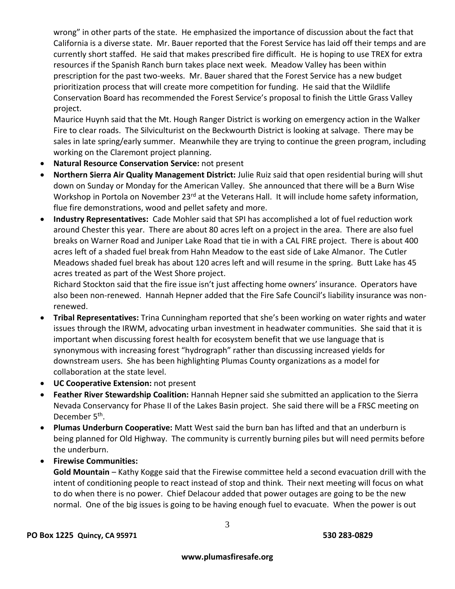wrong" in other parts of the state. He emphasized the importance of discussion about the fact that California is a diverse state. Mr. Bauer reported that the Forest Service has laid off their temps and are currently short staffed. He said that makes prescribed fire difficult. He is hoping to use TREX for extra resources if the Spanish Ranch burn takes place next week. Meadow Valley has been within prescription for the past two-weeks. Mr. Bauer shared that the Forest Service has a new budget prioritization process that will create more competition for funding. He said that the Wildlife Conservation Board has recommended the Forest Service's proposal to finish the Little Grass Valley project.

Maurice Huynh said that the Mt. Hough Ranger District is working on emergency action in the Walker Fire to clear roads. The Silviculturist on the Beckwourth District is looking at salvage. There may be sales in late spring/early summer. Meanwhile they are trying to continue the green program, including working on the Claremont project planning.

- **Natural Resource Conservation Service:** not present
- **Northern Sierra Air Quality Management District:** Julie Ruiz said that open residential buring will shut down on Sunday or Monday for the American Valley. She announced that there will be a Burn Wise Workshop in Portola on November 23<sup>rd</sup> at the Veterans Hall. It will include home safety information, flue fire demonstrations, wood and pellet safety and more.
- **Industry Representatives:** Cade Mohler said that SPI has accomplished a lot of fuel reduction work around Chester this year. There are about 80 acres left on a project in the area. There are also fuel breaks on Warner Road and Juniper Lake Road that tie in with a CAL FIRE project. There is about 400 acres left of a shaded fuel break from Hahn Meadow to the east side of Lake Almanor. The Cutler Meadows shaded fuel break has about 120 acres left and will resume in the spring. Butt Lake has 45 acres treated as part of the West Shore project.

Richard Stockton said that the fire issue isn't just affecting home owners' insurance. Operators have also been non-renewed. Hannah Hepner added that the Fire Safe Council's liability insurance was nonrenewed.

- **Tribal Representatives:** Trina Cunningham reported that she's been working on water rights and water issues through the IRWM, advocating urban investment in headwater communities. She said that it is important when discussing forest health for ecosystem benefit that we use language that is synonymous with increasing forest "hydrograph" rather than discussing increased yields for downstream users. She has been highlighting Plumas County organizations as a model for collaboration at the state level.
- **UC Cooperative Extension:** not present
- **Feather River Stewardship Coalition:** Hannah Hepner said she submitted an application to the Sierra Nevada Conservancy for Phase II of the Lakes Basin project. She said there will be a FRSC meeting on December 5<sup>th</sup>.
- **Plumas Underburn Cooperative:** Matt West said the burn ban has lifted and that an underburn is being planned for Old Highway. The community is currently burning piles but will need permits before the underburn.
- **Firewise Communities:**

**Gold Mountain** – Kathy Kogge said that the Firewise committee held a second evacuation drill with the intent of conditioning people to react instead of stop and think. Their next meeting will focus on what to do when there is no power. Chief Delacour added that power outages are going to be the new normal. One of the big issues is going to be having enough fuel to evacuate. When the power is out